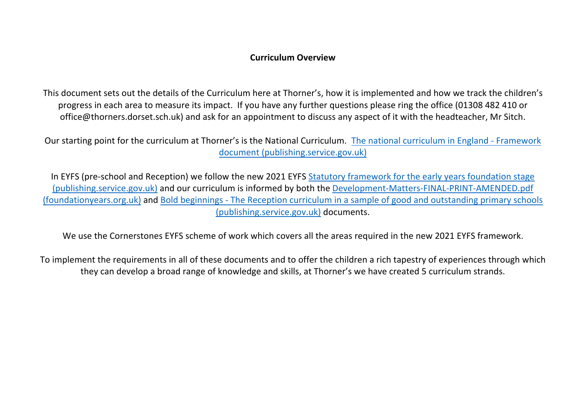### **Curriculum Overview**

This document sets out the details of the Curriculum here at Thorner's, how it is implemented and how we track the children's progress in each area to measure its impact. If you have any further questions please ring the office (01308 482 410 or office@thorners.dorset.sch.uk) and ask for an appointment to discuss any aspect of it with the headteacher, Mr Sitch.

Our starting point for the curriculum at Thorner's is the National Curriculum. The national curriculum in England - Framework document (publishing.service.gov.uk)

In EYFS (pre-school and Reception) we follow the new 2021 EYFS Statutory framework for the early years foundation stage (publishing.service.gov.uk) and our curriculum is informed by both the Development-Matters-FINAL-PRINT-AMENDED.pdf (foundationyears.org.uk) and Bold beginnings - The Reception curriculum in a sample of good and outstanding primary schools (publishing.service.gov.uk) documents.

We use the Cornerstones EYFS scheme of work which covers all the areas required in the new 2021 EYFS framework.

To implement the requirements in all of these documents and to offer the children a rich tapestry of experiences through which they can develop a broad range of knowledge and skills, at Thorner's we have created 5 curriculum strands.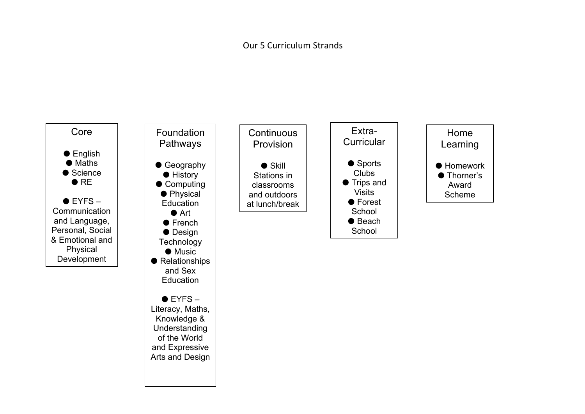### Our 5 Curriculum Strands

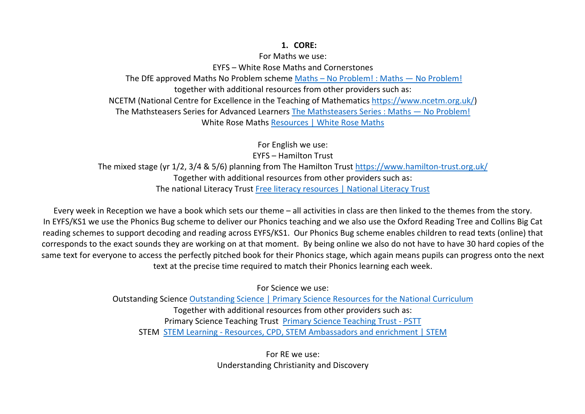#### **1. CORE:**

For Maths we use:

EYFS – White Rose Maths and Cornerstones The DfE approved Maths No Problem scheme Maths – No Problem! : Maths — No Problem! together with additional resources from other providers such as: NCETM (National Centre for Excellence in the Teaching of Mathematics https://www.ncetm.org.uk/) The Mathsteasers Series for Advanced Learners The Mathsteasers Series : Maths — No Problem! White Rose Maths Resources | White Rose Maths

For English we use: EYFS – Hamilton Trust The mixed stage (yr 1/2, 3/4 & 5/6) planning from The Hamilton Trust https://www.hamilton-trust.org.uk/ Together with additional resources from other providers such as: The national Literacy Trust Free literacy resources | National Literacy Trust

Every week in Reception we have a book which sets our theme – all activities in class are then linked to the themes from the story. In EYFS/KS1 we use the Phonics Bug scheme to deliver our Phonics teaching and we also use the Oxford Reading Tree and Collins Big Cat reading schemes to support decoding and reading across EYFS/KS1. Our Phonics Bug scheme enables children to read texts (online) that corresponds to the exact sounds they are working on at that moment. By being online we also do not have to have 30 hard copies of the same text for everyone to access the perfectly pitched book for their Phonics stage, which again means pupils can progress onto the next text at the precise time required to match their Phonics learning each week.

For Science we use:

Outstanding Science Outstanding Science | Primary Science Resources for the National Curriculum Together with additional resources from other providers such as: Primary Science Teaching Trust Primary Science Teaching Trust - PSTT STEM STEM Learning - Resources, CPD, STEM Ambassadors and enrichment | STEM

> For RE we use: Understanding Christianity and Discovery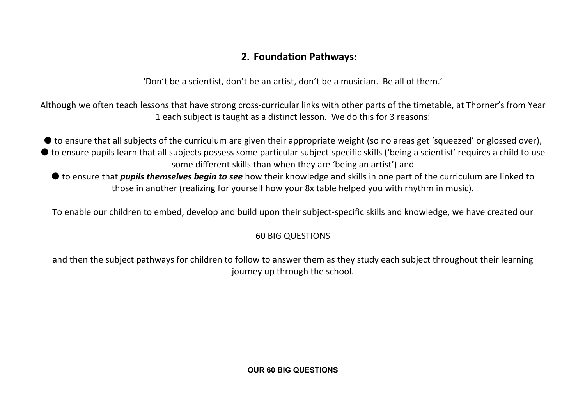# **2. Foundation Pathways:**

'Don't be a scientist, don't be an artist, don't be a musician. Be all of them.'

Although we often teach lessons that have strong cross-curricular links with other parts of the timetable, at Thorner's from Year 1 each subject is taught as a distinct lesson. We do this for 3 reasons:

● to ensure that all subjects of the curriculum are given their appropriate weight (so no areas get 'squeezed' or glossed over), ● to ensure pupils learn that all subjects possess some particular subject-specific skills ('being a scientist' requires a child to use some different skills than when they are 'being an artist') and

● to ensure that *pupils themselves begin to see* how their knowledge and skills in one part of the curriculum are linked to those in another (realizing for yourself how your 8x table helped you with rhythm in music).

To enable our children to embed, develop and build upon their subject-specific skills and knowledge, we have created our

## 60 BIG QUESTIONS

and then the subject pathways for children to follow to answer them as they study each subject throughout their learning journey up through the school.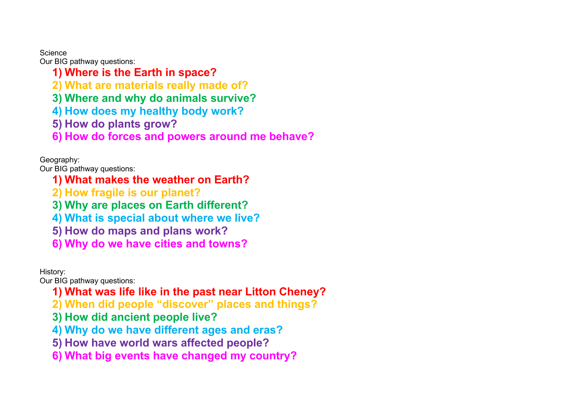**Science** 

Our BIG pathway questions:

- **1) Where is the Earth in space?**
- **2) What are materials really made of?**
- **3) Where and why do animals survive?**
- **4) How does my healthy body work?**
- **5) How do plants grow?**
- **6) How do forces and powers around me behave?**

Geography:

Our BIG pathway questions:

- **1) What makes the weather on Earth?**
- **2) How fragile is our planet?**
- **3) Why are places on Earth different?**
- **4) What is special about where we live?**
- **5) How do maps and plans work?**
- **6) Why do we have cities and towns?**

History:

Our BIG pathway questions:

- **1) What was life like in the past near Litton Cheney?**
- **2) When did people "discover" places and things?**
- **3) How did ancient people live?**
- **4) Why do we have different ages and eras?**
- **5) How have world wars affected people?**
- **6) What big events have changed my country?**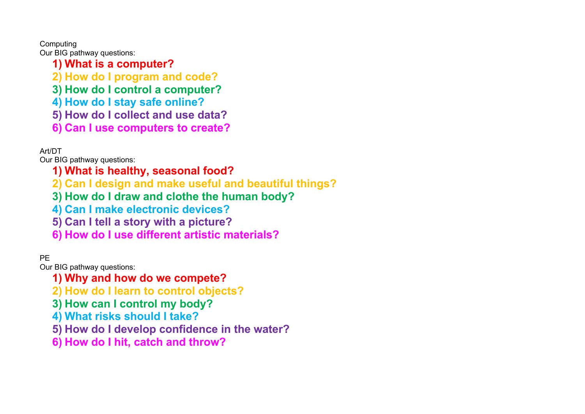Computing

Our BIG pathway questions:

- **1) What is a computer?**
- **2) How do I program and code?**
- **3) How do I control a computer?**
- **4) How do I stay safe online?**
- **5) How do I collect and use data?**
- **6) Can I use computers to create?**

Art/DT

Our BIG pathway questions:

# **1) What is healthy, seasonal food?**

- **2) Can I design and make useful and beautiful things?**
- **3) How do I draw and clothe the human body?**
- **4) Can I make electronic devices?**
- **5) Can I tell a story with a picture?**
- **6) How do I use different artistic materials?**

## PE

Our BIG pathway questions:

- **1) Why and how do we compete?**
- **2) How do I learn to control objects?**
- **3) How can I control my body?**
- **4) What risks should I take?**
- **5) How do I develop confidence in the water?**
- **6) How do I hit, catch and throw?**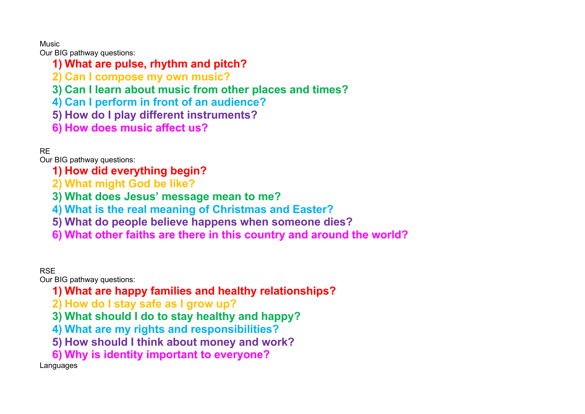### Music

Our BIG pathway questions:

- **1) What are pulse, rhythm and pitch?**
- **2) Can I compose my own music?**
- **3) Can I learn about music from other places and times?**
- **4) Can I perform in front of an audience?**
- **5) How do I play different instruments?**
- **6) How does music affect us?**

## RE

Our BIG pathway questions:

- **1) How did everything begin?**
- **2) What might God be like?**
- **3) What does Jesus' message mean to me?**
- **4) What is the real meaning of Christmas and Easter?**
- **5) What do people believe happens when someone dies?**
- **6) What other faiths are there in this country and around the world?**

## **RSF**

Our BIG pathway questions:

- **1) What are happy families and healthy relationships?**
- **2) How do I stay safe as I grow up?**
- **3) What should I do to stay healthy and happy?**
- **4) What are my rights and responsibilities?**
- **5) How should I think about money and work?**
- **6) Why is identity important to everyone?**

Languages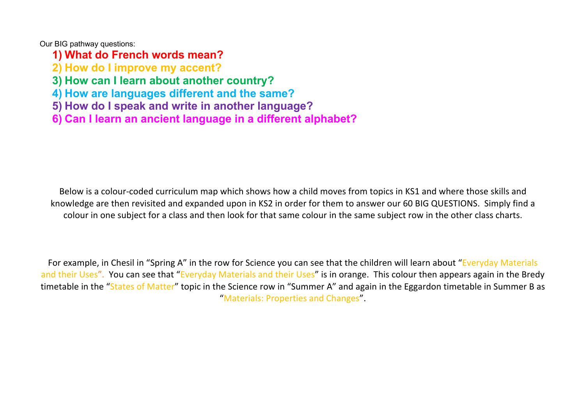Our BIG pathway questions:

**1) What do French words mean?**

**2) How do I improve my accent?**

**3) How can I learn about another country?**

**4) How are languages different and the same?**

**5) How do I speak and write in another language?**

**6) Can I learn an ancient language in a different alphabet?**

Below is a colour-coded curriculum map which shows how a child moves from topics in KS1 and where those skills and knowledge are then revisited and expanded upon in KS2 in order for them to answer our 60 BIG QUESTIONS. Simply find a colour in one subject for a class and then look for that same colour in the same subject row in the other class charts.

For example, in Chesil in "Spring A" in the row for Science you can see that the children will learn about "Everyday Materials and their Uses". You can see that "Everyday Materials and their Uses" is in orange. This colour then appears again in the Bredy timetable in the "States of Matter" topic in the Science row in "Summer A" and again in the Eggardon timetable in Summer B as "Materials: Properties and Changes".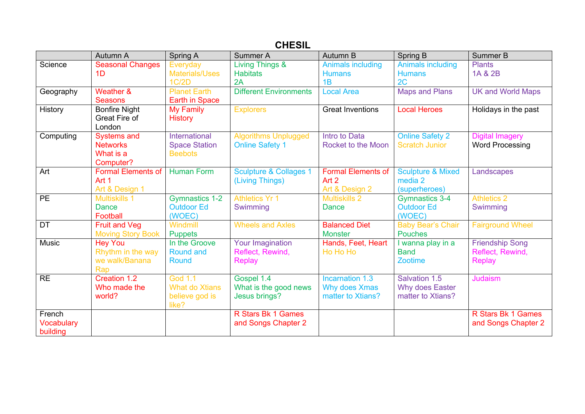# **CHESIL**

|                   | Autumn A                  | Spring A              | Summer A                          | Autumn B                  | <b>Spring B</b>              | Summer B                 |
|-------------------|---------------------------|-----------------------|-----------------------------------|---------------------------|------------------------------|--------------------------|
| Science           | <b>Seasonal Changes</b>   | Everyday              | <b>Living Things &amp;</b>        | <b>Animals including</b>  | <b>Animals including</b>     | <b>Plants</b>            |
|                   | 1D                        | <b>Materials/Uses</b> | <b>Habitats</b>                   | <b>Humans</b>             | <b>Humans</b>                | 1A & 2B                  |
|                   |                           | 1C/2D                 | 2A                                | 1B                        | 2C                           |                          |
| Geography         | Weather &                 | <b>Planet Earth</b>   | <b>Different Environments</b>     | <b>Local Area</b>         | <b>Maps and Plans</b>        | <b>UK and World Maps</b> |
|                   | <b>Seasons</b>            | <b>Earth in Space</b> |                                   |                           |                              |                          |
| History           | <b>Bonfire Night</b>      | <b>My Family</b>      | <b>Explorers</b>                  | <b>Great Inventions</b>   | <b>Local Heroes</b>          | Holidays in the past     |
|                   | Great Fire of             | <b>History</b>        |                                   |                           |                              |                          |
|                   | London                    |                       |                                   |                           |                              |                          |
| Computing         | <b>Systems and</b>        | International         | <b>Algorithms Unplugged</b>       | Intro to Data             | <b>Online Safety 2</b>       | <b>Digital Imagery</b>   |
|                   | <b>Networks</b>           | <b>Space Station</b>  | <b>Online Safety 1</b>            | <b>Rocket to the Moon</b> | <b>Scratch Junior</b>        | <b>Word Processing</b>   |
|                   | What is a                 | <b>Beebots</b>        |                                   |                           |                              |                          |
|                   | Computer?                 |                       |                                   |                           |                              |                          |
| Art               | <b>Formal Elements of</b> | Human Form            | <b>Sculpture &amp; Collages 1</b> | <b>Formal Elements of</b> | <b>Sculpture &amp; Mixed</b> | Landscapes               |
|                   | Art 1                     |                       | (Living Things)                   | Art 2                     | media 2                      |                          |
|                   | Art & Design 1            |                       |                                   | Art & Design 2            | (superheroes)                |                          |
| <b>PE</b>         | <b>Multiskills 1</b>      | <b>Gymnastics 1-2</b> | <b>Athletics Yr 1</b>             | <b>Multiskills 2</b>      | <b>Gymnastics 3-4</b>        | <b>Athletics 2</b>       |
|                   | Dance                     | <b>Outdoor Ed</b>     | Swimming                          | <b>Dance</b>              | <b>Outdoor Ed</b>            | Swimming                 |
|                   | Football                  | (WOEC)                |                                   |                           | (WOEC)                       |                          |
| <b>DT</b>         | <b>Fruit and Veg</b>      | Windmill              | <b>Wheels and Axles</b>           | <b>Balanced Diet</b>      | <b>Baby Bear's Chair</b>     | <b>Fairground Wheel</b>  |
|                   | <b>Moving Story Book</b>  | <b>Puppets</b>        |                                   | <b>Monster</b>            | Pouches                      |                          |
| <b>Music</b>      | <b>Hey You</b>            | In the Groove         | <b>Your Imagination</b>           | Hands, Feet, Heart        | I wanna play in a            | <b>Friendship Song</b>   |
|                   | Rhythm in the way         | <b>Round and</b>      | Reflect, Rewind,                  | Ho Ho Ho                  | <b>Band</b>                  | Reflect, Rewind,         |
|                   | we walk/Banana            | Round                 | <b>Replay</b>                     |                           | Zootime                      | <b>Replay</b>            |
|                   | Rap                       |                       |                                   |                           |                              |                          |
| <b>RE</b>         | Creation 1.2              | God 1.1               | Gospel 1.4                        | Incarnation 1.3           | Salvation 1.5                | Judaism                  |
|                   | Who made the              | <b>What do Xtians</b> | What is the good news             | Why does Xmas             | Why does Easter              |                          |
|                   | world?                    | believe god is        | Jesus brings?                     | matter to Xtians?         | matter to Xtians?            |                          |
|                   |                           | like?                 |                                   |                           |                              |                          |
| French            |                           |                       | R Stars Bk 1 Games                |                           |                              | R Stars Bk 1 Games       |
| <b>Vocabulary</b> |                           |                       | and Songs Chapter 2               |                           |                              | and Songs Chapter 2      |
| building          |                           |                       |                                   |                           |                              |                          |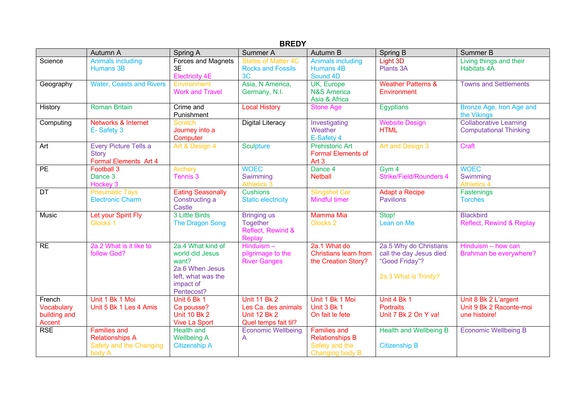| <b>BREDY</b>                                   |                                                                                    |                                                                                                                   |                                                                                           |                                                                                    |                                                                                              |                                                                  |  |  |  |  |
|------------------------------------------------|------------------------------------------------------------------------------------|-------------------------------------------------------------------------------------------------------------------|-------------------------------------------------------------------------------------------|------------------------------------------------------------------------------------|----------------------------------------------------------------------------------------------|------------------------------------------------------------------|--|--|--|--|
|                                                | Autumn A                                                                           | Spring A                                                                                                          | Summer A                                                                                  | Autumn B                                                                           | Spring B                                                                                     | Summer B                                                         |  |  |  |  |
| Science                                        | <b>Animals including</b><br>Humans 3B                                              | Forces and Magnets<br>3E<br><b>Electricity 4E</b>                                                                 | <b>States of Matter 4C</b><br><b>Rocks and Fossils</b><br>3 <sub>C</sub>                  | <b>Animals including</b><br>Humans 4B<br>Sound 4D                                  | Light 3D<br>Plants 3A                                                                        | Living things and their<br><b>Habitats 4A</b>                    |  |  |  |  |
| Geography                                      | <b>Water, Coasts and Rivers</b>                                                    | Environment<br><b>Work and Travel</b>                                                                             | Asia, N America,<br>Germany, N.I.                                                         | UK, Europe<br><b>N&amp;S America</b><br>Asia & Africa                              | <b>Weather Patterns &amp;</b><br>Environment                                                 | <b>Towns and Settlements</b>                                     |  |  |  |  |
| History                                        | <b>Roman Britain</b>                                                               | Crime and<br>Punishment                                                                                           | <b>Local History</b>                                                                      | <b>Stone Age</b>                                                                   | Egyptians                                                                                    | Bronze Age, Iron Age and<br>the Vikings                          |  |  |  |  |
| Computing                                      | Networks & Internet<br>E-Safety 3                                                  | <b>Scratch</b><br>Journey into a<br>Computer                                                                      | <b>Digital Literacy</b>                                                                   | Investigating<br>Weather<br>E-Safety 4                                             | <b>Website Design</b><br><b>HTML</b>                                                         | <b>Collaborative Learning</b><br><b>Computational Thinking</b>   |  |  |  |  |
| Art                                            | Every Picture Tells a<br><b>Story</b><br>Formal Elements Art 4                     | Art & Design 4                                                                                                    | <b>Sculpture</b>                                                                          | <b>Prehistoric Art</b><br><b>Formal Elements of</b><br>Art <sub>3</sub>            | Art and Design 3                                                                             | Craft                                                            |  |  |  |  |
| $\overline{PE}$                                | Football 3<br>Dance 3<br>Hockey 3                                                  | <b>Archery</b><br>Tennis <sub>3</sub>                                                                             | <b>WOEC</b><br>Swimming<br><b>Athletics 3</b>                                             | Dance 4<br><b>Netball</b>                                                          | Gym 4<br><b>Strike/Field/Rounders 4</b>                                                      | <b>WOEC</b><br>Swimming<br><b>Athletics 4</b>                    |  |  |  |  |
| DT                                             | <b>Pneumatic Toys</b><br><b>Electronic Charm</b>                                   | <b>Eating Seasonally</b><br>Constructing a<br>Castle                                                              | <b>Cushions</b><br><b>Static electricity</b>                                              | <b>Slingshot Car</b><br><b>Mindful timer</b>                                       | <b>Adapt a Recipe</b><br><b>Pavilions</b>                                                    | Fastenings<br><b>Torches</b>                                     |  |  |  |  |
| Music                                          | Let your Spirit Fly<br>Glocks 1                                                    | 3 Little Birds<br><b>The Dragon Song</b>                                                                          | <b>Bringing</b> us<br><b>Together</b><br>Reflect, Rewind &<br><b>Replay</b>               | <b>Mamma Mia</b><br>Glocks <sub>2</sub>                                            | Stop!<br>Lean on Me                                                                          | <b>Blackbird</b><br>Reflect, Rewind & Replay                     |  |  |  |  |
| RE                                             | 2a.2 What is it like to<br>follow God?                                             | 2a.4 What kind of<br>world did Jesus<br>want?<br>2a.6 When Jesus<br>left, what was the<br>impact of<br>Pentecost? | Hinduism-<br>pilgrimage to the<br><b>River Ganges</b>                                     | 2a.1 What do<br><b>Christians learn from</b><br>the Creation Story?                | 2a.5 Why do Christians<br>call the day Jesus died<br>"Good Friday"?<br>2a.3 What is Trinity? | Hinduism - how can<br>Brahman be everywhere?                     |  |  |  |  |
| French<br>Vocabulary<br>building and<br>Accent | Unit 1 Bk 1 Moi<br>Unit 5 Bk 1 Les 4 Amis                                          | Unit 6 Bk 1<br>Ca pousse?<br><b>Unit 10 Bk 2</b><br><b>Vive La Sport</b>                                          | <b>Unit 11 Bk 2</b><br>Les Ca. des animals<br><b>Unit 12 Bk 2</b><br>Quel temps fait til? | Unit 1 Bk 1 Moi<br>Unit 3 Bk 1<br>On fait le fete                                  | Unit 4 Bk 1<br><b>Portraits</b><br>Unit 7 Bk 2 On Y va!                                      | Unit 8 Bk 2 L'argent<br>Unit 9 Bk 2 Raconte-moi<br>une histoire! |  |  |  |  |
| <b>RSE</b>                                     | <b>Families and</b><br><b>Relationships A</b><br>Safety and the Changing<br>body A | <b>Health and</b><br><b>Wellbeing A</b><br><b>Citizenship A</b>                                                   | <b>Economic Wellbeing</b><br>A                                                            | <b>Families and</b><br><b>Relationships B</b><br>Safety and the<br>Changing body B | <b>Health and Wellbeing B</b><br><b>Citizenship B</b>                                        | <b>Economic Wellbeing B</b>                                      |  |  |  |  |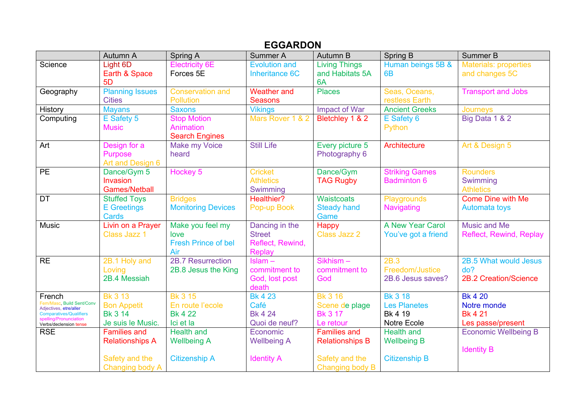## **EGGARDON**

|                                                          | Autumn A                        | Spring A                   | Summer A                           | Autumn B               | Spring B                                    | Summer B                     |
|----------------------------------------------------------|---------------------------------|----------------------------|------------------------------------|------------------------|---------------------------------------------|------------------------------|
| Science                                                  | Light 6D                        | <b>Electricity 6E</b>      | <b>Evolution and</b>               | <b>Living Things</b>   | Human beings 5B &                           | <b>Materials: properties</b> |
|                                                          | Earth & Space<br>5 <sub>D</sub> | Forces 5E                  | Inheritance 6C                     | and Habitats 5A<br>6A  | 6 <sub>B</sub>                              | and changes 5C               |
| Geography                                                | <b>Planning Issues</b>          | <b>Conservation and</b>    | <b>Weather and</b>                 | <b>Places</b>          | Seas, Oceans,                               | <b>Transport and Jobs</b>    |
|                                                          | <b>Cities</b>                   | Pollution                  | <b>Seasons</b>                     |                        | restless Earth                              |                              |
| History                                                  | <b>Mayans</b>                   | <b>Saxons</b>              | <b>Vikings</b>                     | <b>Impact of War</b>   | <b>Ancient Greeks</b>                       | Journeys                     |
| Computing                                                | E Safety 5                      | <b>Stop Motion</b>         | Mars Rover 1 & 2                   | Bletchley 1 & 2        | E Safety 6                                  | Big Data 1 & 2               |
|                                                          | <b>Music</b>                    | Animation                  |                                    |                        | Python                                      |                              |
|                                                          |                                 | <b>Search Engines</b>      |                                    |                        |                                             |                              |
| Art                                                      | Design for a                    | <b>Make my Voice</b>       | <b>Still Life</b>                  | Every picture 5        | Architecture                                | Art & Design 5               |
|                                                          | <b>Purpose</b>                  | heard                      |                                    | Photography 6          |                                             |                              |
|                                                          | Art and Design 6                |                            |                                    |                        |                                             |                              |
| PE                                                       | Dance/Gym 5<br>Invasion         | Hockey <sub>5</sub>        | <b>Cricket</b><br><b>Athletics</b> | Dance/Gym              | <b>Striking Games</b><br><b>Badminton 6</b> | <b>Rounders</b><br>Swimming  |
|                                                          | <b>Games/Netball</b>            |                            | Swimming                           | <b>TAG Rugby</b>       |                                             | <b>Athletics</b>             |
| <b>DT</b>                                                | <b>Stuffed Toys</b>             | <b>Bridges</b>             | Healthier?                         | Waistcoats             | Playgrounds                                 | <b>Come Dine with Me</b>     |
|                                                          | <b>E</b> Greetings              | <b>Monitoring Devices</b>  | Pop-up Book                        | <b>Steady hand</b>     | Navigating                                  | Automata toys                |
|                                                          | <b>Cards</b>                    |                            |                                    | Game                   |                                             |                              |
| Music                                                    | Livin on a Prayer               | Make you feel my           | Dancing in the                     | Happy                  | A New Year Carol                            | <b>Music and Me</b>          |
|                                                          | Class Jazz 1                    | love                       | <b>Street</b>                      | <b>Class Jazz 2</b>    | You've got a friend                         | Reflect, Rewind, Replay      |
|                                                          |                                 | <b>Fresh Prince of bel</b> | Reflect, Rewind,                   |                        |                                             |                              |
|                                                          |                                 | Air                        | <b>Replay</b>                      |                        |                                             |                              |
| <b>RE</b>                                                | 2B.1 Holy and                   | 2B.7 Resurrection          | $Islam -$                          | Sikhism-               | 2B.3                                        | 2B.5 What would Jesus        |
|                                                          | Loving                          | 2B.8 Jesus the King        | commitment to                      | commitment to          | Freedom/Justice                             | do?                          |
|                                                          | 2B.4 Messiah                    |                            | God, lost post                     | God                    | 2B.6 Jesus saves?                           | <b>2B.2 Creation/Science</b> |
|                                                          |                                 |                            | death                              |                        |                                             |                              |
| French<br>Fem/Masc, Build Sent/Conv                      | <b>Bk 3 13</b>                  | <b>Bk 3 15</b>             | <b>Bk 4 23</b>                     | <b>Bk 3 16</b>         | <b>Bk 3 18</b>                              | <b>Bk 4 20</b>               |
| Adjectives, etre/aller                                   | <b>Bon Appetit</b>              | En route l'ecole           | Café                               | Scene de plage         | <b>Les Planetes</b>                         | Notre monde                  |
| <b>Comparatives/Qualifiers</b><br>spelling/Pronunciation | <b>Bk 3 14</b>                  | <b>Bk 4 22</b>             | <b>Bk 4 24</b>                     | <b>Bk 3 17</b>         | Bk 4 19                                     | <b>Bk 4 21</b>               |
| Verbs/declension tense                                   | Je suis le Music.               | Ici et la                  | Quoi de neuf?                      | Le retour              | Notre Ecole                                 | Les passe/present            |
| <b>RSE</b>                                               | <b>Families and</b>             | <b>Health and</b>          | Economic                           | <b>Families and</b>    | <b>Health and</b>                           | <b>Economic Wellbeing B</b>  |
|                                                          | <b>Relationships A</b>          | <b>Wellbeing A</b>         | <b>Wellbeing A</b>                 | <b>Relationships B</b> | <b>Wellbeing B</b>                          | <b>Identity B</b>            |
|                                                          | Safety and the                  | <b>Citizenship A</b>       | <b>Identity A</b>                  | Safety and the         | <b>Citizenship B</b>                        |                              |
|                                                          | Changing body A                 |                            |                                    | <b>Changing body B</b> |                                             |                              |
|                                                          |                                 |                            |                                    |                        |                                             |                              |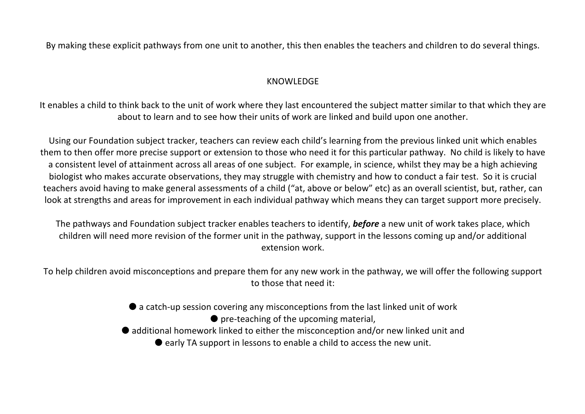By making these explicit pathways from one unit to another, this then enables the teachers and children to do several things.

### KNOWLEDGE

It enables a child to think back to the unit of work where they last encountered the subject matter similar to that which they are about to learn and to see how their units of work are linked and build upon one another.

Using our Foundation subject tracker, teachers can review each child's learning from the previous linked unit which enables them to then offer more precise support or extension to those who need it for this particular pathway. No child is likely to have a consistent level of attainment across all areas of one subject. For example, in science, whilst they may be a high achieving biologist who makes accurate observations, they may struggle with chemistry and how to conduct a fair test. So it is crucial teachers avoid having to make general assessments of a child ("at, above or below" etc) as an overall scientist, but, rather, can look at strengths and areas for improvement in each individual pathway which means they can target support more precisely.

The pathways and Foundation subject tracker enables teachers to identify, *before* a new unit of work takes place, which children will need more revision of the former unit in the pathway, support in the lessons coming up and/or additional extension work.

To help children avoid misconceptions and prepare them for any new work in the pathway, we will offer the following support to those that need it:

- a catch-up session covering any misconceptions from the last linked unit of work
	- $\bullet$  pre-teaching of the upcoming material,
- additional homework linked to either the misconception and/or new linked unit and
	- $\bullet$  early TA support in lessons to enable a child to access the new unit.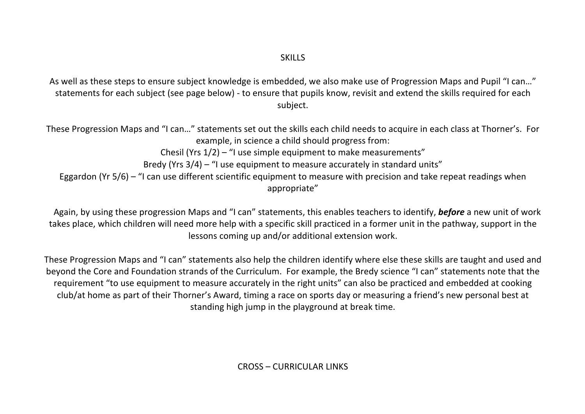As well as these steps to ensure subject knowledge is embedded, we also make use of Progression Maps and Pupil "I can…" statements for each subject (see page below) - to ensure that pupils know, revisit and extend the skills required for each subject.

These Progression Maps and "I can…" statements set out the skills each child needs to acquire in each class at Thorner's. For example, in science a child should progress from: Chesil (Yrs 1/2) – "I use simple equipment to make measurements" Bredy (Yrs 3/4) – "I use equipment to measure accurately in standard units" Eggardon (Yr 5/6) – "I can use different scientific equipment to measure with precision and take repeat readings when appropriate"

 Again, by using these progression Maps and "I can" statements, this enables teachers to identify, *before* a new unit of work takes place, which children will need more help with a specific skill practiced in a former unit in the pathway, support in the lessons coming up and/or additional extension work.

These Progression Maps and "I can" statements also help the children identify where else these skills are taught and used and beyond the Core and Foundation strands of the Curriculum. For example, the Bredy science "I can" statements note that the requirement "to use equipment to measure accurately in the right units" can also be practiced and embedded at cooking club/at home as part of their Thorner's Award, timing a race on sports day or measuring a friend's new personal best at standing high jump in the playground at break time.

CROSS – CURRICULAR LINKS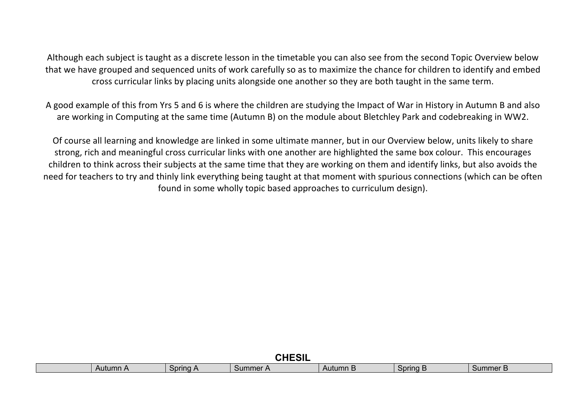Although each subject is taught as a discrete lesson in the timetable you can also see from the second Topic Overview below that we have grouped and sequenced units of work carefully so as to maximize the chance for children to identify and embed cross curricular links by placing units alongside one another so they are both taught in the same term.

A good example of this from Yrs 5 and 6 is where the children are studying the Impact of War in History in Autumn B and also are working in Computing at the same time (Autumn B) on the module about Bletchley Park and codebreaking in WW2.

Of course all learning and knowledge are linked in some ultimate manner, but in our Overview below, units likely to share strong, rich and meaningful cross curricular links with one another are highlighted the same box colour. This encourages children to think across their subjects at the same time that they are working on them and identify links, but also avoids the need for teachers to try and thinly link everything being taught at that moment with spurious connections (which can be often found in some wholly topic based approaches to curriculum design).

| $\bigcap$<br>JNEJIL |          |          |          |          |          |                       |  |  |  |
|---------------------|----------|----------|----------|----------|----------|-----------------------|--|--|--|
|                     | Autumn A | Spring A | Summer A | Autumn B | Spring B | Summer <i>'</i><br>-- |  |  |  |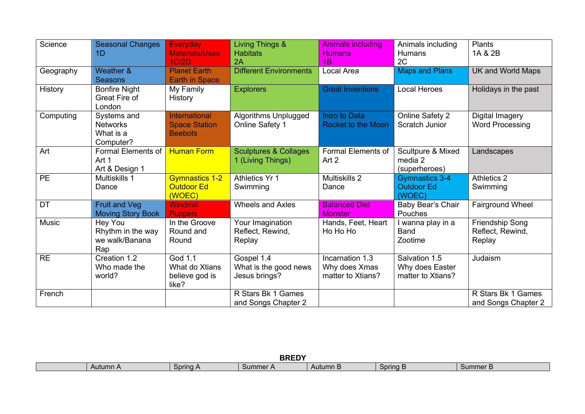| Science   | <b>Seasonal Changes</b><br>1D                            | <b>Everyday</b><br><b>Materials/Uses</b><br>1C/2D       | Living Things &<br><b>Habitats</b><br>2A              | <b>Animals including</b><br><b>Humans</b><br>1B       | Animals including<br><b>Humans</b><br>2C              | Plants<br>1A & 2B                             |
|-----------|----------------------------------------------------------|---------------------------------------------------------|-------------------------------------------------------|-------------------------------------------------------|-------------------------------------------------------|-----------------------------------------------|
| Geography | Weather &<br><b>Seasons</b>                              | <b>Planet Earth</b><br><b>Earth in Space</b>            | <b>Different Environments</b>                         | Local Area                                            | <b>Maps and Plans</b>                                 | UK and World Maps                             |
| History   | <b>Bonfire Night</b><br>Great Fire of<br>London          | My Family<br>History                                    | <b>Explorers</b>                                      | <b>Great Inventions</b>                               | <b>Local Heroes</b>                                   | Holidays in the past                          |
| Computing | Systems and<br><b>Networks</b><br>What is a<br>Computer? | International<br><b>Space Station</b><br><b>Beebots</b> | Algorithms Unplugged<br><b>Online Safety 1</b>        | Intro to Data<br><b>Rocket to the Moon</b>            | Online Safety 2<br>Scratch Junior                     | Digital Imagery<br><b>Word Processing</b>     |
| Art       | Formal Elements of<br>Art 1<br>Art & Design 1            | <b>Human Form</b>                                       | <b>Sculptures &amp; Collages</b><br>1 (Living Things) | Formal Elements of<br>Art 2                           | Scultpure & Mixed<br>media 2<br>(superheroes)         | Landscapes                                    |
| <b>PE</b> | Multiskills 1<br>Dance                                   | <b>Gymnastics 1-2</b><br><b>Outdoor Ed</b><br>(WOEC)    | <b>Athletics Yr 1</b><br>Swimming                     | Multiskills 2<br>Dance                                | Gymnastics 3-4<br><b>Outdoor Ed</b><br>(WOEC)         | <b>Athletics 2</b><br>Swimming                |
| DT        | <b>Fruit and Veg</b><br><b>Moving Story Book</b>         | <b>Windmill</b><br><b>Puppets</b>                       | <b>Wheels and Axles</b>                               | <b>Balanced Diet</b><br><b>Monster</b>                | Baby Bear's Chair<br>Pouches                          | <b>Fairground Wheel</b>                       |
| Music     | Hey You<br>Rhythm in the way<br>we walk/Banana<br>Rap    | In the Groove<br>Round and<br>Round                     | Your Imagination<br>Reflect, Rewind,<br>Replay        | Hands, Feet, Heart<br>Ho Ho Ho                        | wanna play in a<br><b>Band</b><br>Zootime             | Friendship Song<br>Reflect, Rewind,<br>Replay |
| <b>RE</b> | Creation 1.2<br>Who made the<br>world?                   | God 1.1<br>What do Xtians<br>believe god is<br>like?    | Gospel 1.4<br>What is the good news<br>Jesus brings?  | Incarnation 1.3<br>Why does Xmas<br>matter to Xtians? | Salvation 1.5<br>Why does Easter<br>matter to Xtians? | Judaism                                       |
| French    |                                                          |                                                         | R Stars Bk 1 Games<br>and Songs Chapter 2             |                                                       |                                                       | R Stars Bk 1 Games<br>and Songs Chapter 2     |

| <b>BREDY</b> |                      |          |                 |          |          |  |  |  |
|--------------|----------------------|----------|-----------------|----------|----------|--|--|--|
| Autumn A     | Spring<br>. <i>.</i> | Summer A | Autumn <b>b</b> | Spring B | Summer B |  |  |  |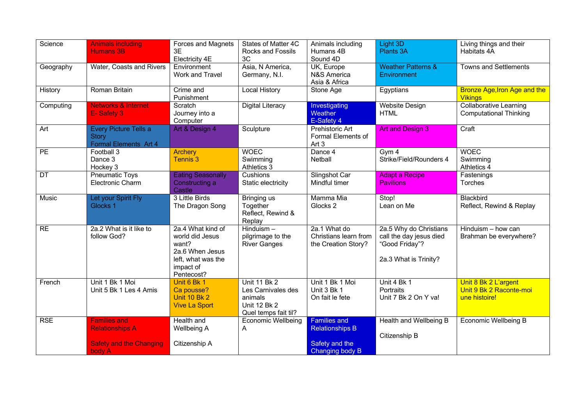| Science         | <b>Animals including</b><br><b>Humans 3B</b>                                              | Forces and Magnets<br>3E<br>Electricity 4E                                                                        | States of Matter 4C<br>Rocks and Fossils<br>3C                                                      | Animals including<br>Humans 4B<br>Sound 4D                                         | Light 3D<br>Plants 3A                                                                        | Living things and their<br>Habitats 4A                           |
|-----------------|-------------------------------------------------------------------------------------------|-------------------------------------------------------------------------------------------------------------------|-----------------------------------------------------------------------------------------------------|------------------------------------------------------------------------------------|----------------------------------------------------------------------------------------------|------------------------------------------------------------------|
| Geography       | Water, Coasts and Rivers                                                                  | Environment<br>Work and Travel                                                                                    | Asia, N America,<br>Germany, N.I.                                                                   | UK, Europe<br><b>N&amp;S America</b><br>Asia & Africa                              | <b>Weather Patterns &amp;</b><br>Environment                                                 | <b>Towns and Settlements</b>                                     |
| History         | Roman Britain                                                                             | Crime and<br>Punishment                                                                                           | <b>Local History</b>                                                                                | Stone Age                                                                          | Egyptians                                                                                    | <b>Bronze Age, Iron Age and the</b><br><b>Vikings</b>            |
| Computing       | <b>Networks &amp; Internet</b><br>E-Safety 3                                              | Scratch<br>Journey into a<br>Computer                                                                             | <b>Digital Literacy</b>                                                                             | Investigating<br><b>Weather</b><br>E-Safety 4                                      | <b>Website Design</b><br><b>HTML</b>                                                         | <b>Collaborative Learning</b><br><b>Computational Thinking</b>   |
| Art             | Every Picture Tells a<br><b>Story</b><br>Formal Elements Art 4                            | Art & Design 4                                                                                                    | Sculpture                                                                                           | Prehistoric Art<br>Formal Elements of<br>Art <sub>3</sub>                          | <b>Art and Design 3</b>                                                                      | Craft                                                            |
| $\overline{PE}$ | Football 3<br>Dance 3<br>Hockey 3                                                         | <b>Archery</b><br><b>Tennis 3</b>                                                                                 | <b>WOEC</b><br>Swimming<br>Athletics 3                                                              | Dance 4<br><b>Netball</b>                                                          | Gym 4<br>Strike/Field/Rounders 4                                                             | <b>WOEC</b><br>Swimming<br>Athletics 4                           |
| DT              | <b>Pneumatic Toys</b><br><b>Electronic Charm</b>                                          | <b>Eating Seasonally</b><br>Constructing a<br>Castle                                                              | Cushions<br>Static electricity                                                                      | Slingshot Car<br>Mindful timer                                                     | <b>Adapt a Recipe</b><br><b>Pavilions</b>                                                    | Fastenings<br>Torches                                            |
| Music           | Let your Spirit Fly<br>Glocks 1                                                           | 3 Little Birds<br>The Dragon Song                                                                                 | Bringing us<br>Together<br>Reflect, Rewind &<br>Replay                                              | Mamma Mia<br>Glocks 2                                                              | Stop!<br>Lean on Me                                                                          | Blackbird<br>Reflect, Rewind & Replay                            |
| RE              | 2a.2 What is it like to<br>follow God?                                                    | 2a.4 What kind of<br>world did Jesus<br>want?<br>2a.6 When Jesus<br>left, what was the<br>impact of<br>Pentecost? | $Hinduism -$<br>pilgrimage to the<br><b>River Ganges</b>                                            | 2a.1 What do<br>Christians learn from<br>the Creation Story?                       | 2a.5 Why do Christians<br>call the day jesus died<br>"Good Friday"?<br>2a.3 What is Trinity? | Hinduism - how can<br>Brahman be everywhere?                     |
| French          | Unit 1 Bk 1 Moi<br>Unit 5 Bk 1 Les 4 Amis                                                 | Unit 6 Bk 1<br>Ca pousse?<br><b>Unit 10 Bk 2</b><br><b>Vive La Sport</b>                                          | <b>Unit 11 Bk 2</b><br>Les Carnivales des<br>animals<br><b>Unit 12 Bk 2</b><br>Quel temps fait til? | Unit 1 Bk 1 Moi<br>Unit 3 Bk 1<br>On fait le fete                                  | Unit 4 Bk 1<br>Portraits<br>Unit 7 Bk 2 On Y va!                                             | Unit 8 Bk 2 L'argent<br>Unit 9 Bk 2 Raconte-moi<br>une histoire! |
| <b>RSE</b>      | <b>Families and</b><br><b>Relationships A</b><br><b>Safety and the Changing</b><br>body A | Health and<br>Wellbeing A<br>Citizenship A                                                                        | <b>Economic Wellbeing</b><br>A                                                                      | <b>Families and</b><br><b>Relationships B</b><br>Safety and the<br>Changing body B | Health and Wellbeing B<br>Citizenship B                                                      | <b>Economic Wellbeing B</b>                                      |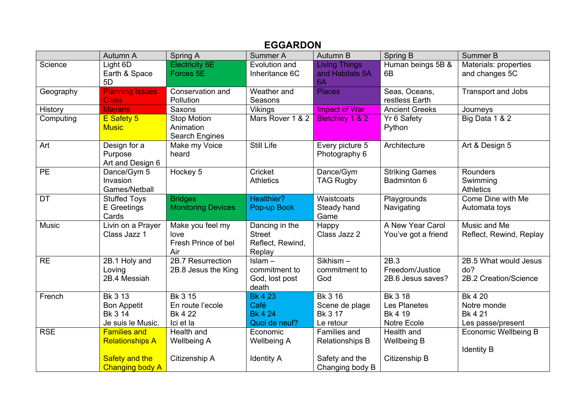## **EGGARDON**

|            | Autumn A                                                                                  | Spring A                                               | Summer A                                                      | Autumn B                                                                    | Spring B                                                 | Summer B                                                      |
|------------|-------------------------------------------------------------------------------------------|--------------------------------------------------------|---------------------------------------------------------------|-----------------------------------------------------------------------------|----------------------------------------------------------|---------------------------------------------------------------|
| Science    | Light 6D<br>Earth & Space<br>5D                                                           | <b>Electricity 6E</b><br>Forces 5E                     | Evolution and<br>Inheritance 6C                               | <b>Living Things</b><br>and Habitats 5A<br>6A                               | Human beings 5B &<br>6B                                  | Materials: properties<br>and changes 5C                       |
| Geography  | <b>Planning Issues</b><br><b>Cities</b>                                                   | Conservation and<br>Pollution                          | Weather and<br>Seasons                                        | <b>Places</b>                                                               | Seas, Oceans,<br>restless Earth                          | <b>Transport and Jobs</b>                                     |
| History    | <b>Mayans</b>                                                                             | Saxons                                                 | <b>Vikings</b>                                                | <b>Impact of War</b>                                                        | <b>Ancient Greeks</b>                                    | Journeys                                                      |
| Computing  | E Safety 5<br><b>Music</b>                                                                | Stop Motion<br>Animation<br>Search Engines             | Mars Rover 1 & 2                                              | Bletchley 1 & 2                                                             | Yr 6 Safety<br>Python                                    | Big Data 1 & 2                                                |
| Art        | Design for a<br>Purpose<br>Art and Design 6                                               | Make my Voice<br>heard                                 | Still Life                                                    | Every picture 5<br>Photography 6                                            | Architecture                                             | Art & Design 5                                                |
| <b>PE</b>  | Dance/Gym 5<br>Invasion<br>Games/Netball                                                  | Hockey 5                                               | Cricket<br><b>Athletics</b>                                   | Dance/Gym<br><b>TAG Rugby</b>                                               | <b>Striking Games</b><br>Badminton 6                     | Rounders<br>Swimming<br><b>Athletics</b>                      |
| <b>DT</b>  | <b>Stuffed Toys</b><br>E Greetings<br>Cards                                               | <b>Bridges</b><br><b>Monitoring Devices</b>            | Healthier?<br>Pop-up Book                                     | Waistcoats<br>Steady hand<br>Game                                           | Playgrounds<br>Navigating                                | Come Dine with Me<br>Automata toys                            |
| Music      | Livin on a Prayer<br>Class Jazz 1                                                         | Make you feel my<br>love<br>Fresh Prince of bel<br>Air | Dancing in the<br><b>Street</b><br>Reflect, Rewind,<br>Replay | Happy<br>Class Jazz 2                                                       | A New Year Carol<br>You've got a friend                  | Music and Me<br>Reflect, Rewind, Replay                       |
| <b>RE</b>  | 2B.1 Holy and<br>Loving<br>2B.4 Messiah                                                   | 2B.7 Resurrection<br>2B.8 Jesus the King               | $Islam -$<br>commitment to<br>God, lost post<br>death         | Sikhism-<br>commitment to<br>God                                            | 2B.3<br>Freedom/Justice<br>2B.6 Jesus saves?             | 2B.5 What would Jesus<br>do?<br>2B.2 Creation/Science         |
| French     | Bk 3 13<br><b>Bon Appetit</b><br>Bk 3 14<br>Je suis le Music.                             | Bk 3 15<br>En route l'ecole<br>Bk 4 22<br>Ici et la    | <b>Bk 423</b><br>Café<br><b>Bk 4 24</b><br>Quoi de neuf?      | Bk 3 16<br>Scene de plage<br>Bk 3 17<br>Le retour                           | Bk 3 18<br>Les Planetes<br><b>Bk 4 19</b><br>Notre Ecole | Bk 4 20<br>Notre monde<br><b>Bk 4 21</b><br>Les passe/present |
| <b>RSE</b> | <b>Families and</b><br><b>Relationships A</b><br>Safety and the<br><b>Changing body A</b> | Health and<br><b>Wellbeing A</b><br>Citizenship A      | Economic<br><b>Wellbeing A</b><br><b>Identity A</b>           | Families and<br><b>Relationships B</b><br>Safety and the<br>Changing body B | Health and<br><b>Wellbeing B</b><br>Citizenship B        | <b>Economic Wellbeing B</b><br><b>Identity B</b>              |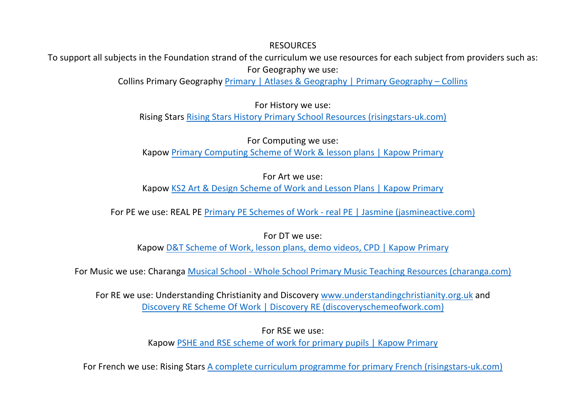### **RESOURCES**

To support all subjects in the Foundation strand of the curriculum we use resources for each subject from providers such as: For Geography we use:

Collins Primary Geography Primary | Atlases & Geography | Primary Geography – Collins

For History we use:

Rising Stars Rising Stars History Primary School Resources (risingstars-uk.com)

For Computing we use: Kapow Primary Computing Scheme of Work & lesson plans | Kapow Primary

For Art we use: Kapow KS2 Art & Design Scheme of Work and Lesson Plans | Kapow Primary

For PE we use: REAL PE Primary PE Schemes of Work - real PE | Jasmine (jasmineactive.com)

For DT we use:

Kapow D&T Scheme of Work, lesson plans, demo videos, CPD | Kapow Primary

For Music we use: Charanga Musical School - Whole School Primary Music Teaching Resources (charanga.com)

For RE we use: Understanding Christianity and Discovery www.understandingchristianity.org.uk and Discovery RE Scheme Of Work | Discovery RE (discoveryschemeofwork.com)

For RSE we use:

Kapow PSHE and RSE scheme of work for primary pupils | Kapow Primary

For French we use: Rising Stars A complete curriculum programme for primary French (risingstars-uk.com)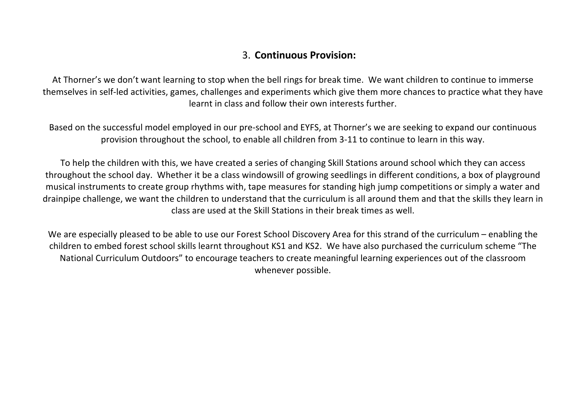## 3. **Continuous Provision:**

At Thorner's we don't want learning to stop when the bell rings for break time. We want children to continue to immerse themselves in self-led activities, games, challenges and experiments which give them more chances to practice what they have learnt in class and follow their own interests further.

Based on the successful model employed in our pre-school and EYFS, at Thorner's we are seeking to expand our continuous provision throughout the school, to enable all children from 3-11 to continue to learn in this way.

To help the children with this, we have created a series of changing Skill Stations around school which they can access throughout the school day. Whether it be a class windowsill of growing seedlings in different conditions, a box of playground musical instruments to create group rhythms with, tape measures for standing high jump competitions or simply a water and drainpipe challenge, we want the children to understand that the curriculum is all around them and that the skills they learn in class are used at the Skill Stations in their break times as well.

We are especially pleased to be able to use our Forest School Discovery Area for this strand of the curriculum – enabling the children to embed forest school skills learnt throughout KS1 and KS2. We have also purchased the curriculum scheme "The National Curriculum Outdoors" to encourage teachers to create meaningful learning experiences out of the classroom whenever possible.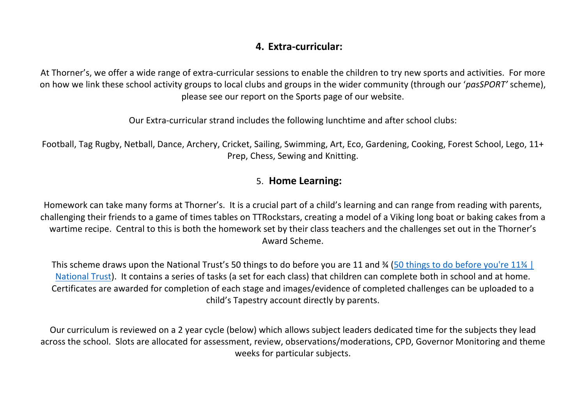# **4. Extra-curricular:**

At Thorner's, we offer a wide range of extra-curricular sessions to enable the children to try new sports and activities. For more on how we link these school activity groups to local clubs and groups in the wider community (through our '*pasSPORT'* scheme), please see our report on the Sports page of our website.

Our Extra-curricular strand includes the following lunchtime and after school clubs:

Football, Tag Rugby, Netball, Dance, Archery, Cricket, Sailing, Swimming, Art, Eco, Gardening, Cooking, Forest School, Lego, 11+ Prep, Chess, Sewing and Knitting.

## 5. **Home Learning:**

Homework can take many forms at Thorner's. It is a crucial part of a child's learning and can range from reading with parents, challenging their friends to a game of times tables on TTRockstars, creating a model of a Viking long boat or baking cakes from a wartime recipe. Central to this is both the homework set by their class teachers and the challenges set out in the Thorner's Award Scheme.

This scheme draws upon the National Trust's 50 things to do before you are 11 and ¾ (50 things to do before you're 11¾ | National Trust). It contains a series of tasks (a set for each class) that children can complete both in school and at home. Certificates are awarded for completion of each stage and images/evidence of completed challenges can be uploaded to a child's Tapestry account directly by parents.

Our curriculum is reviewed on a 2 year cycle (below) which allows subject leaders dedicated time for the subjects they lead across the school. Slots are allocated for assessment, review, observations/moderations, CPD, Governor Monitoring and theme weeks for particular subjects.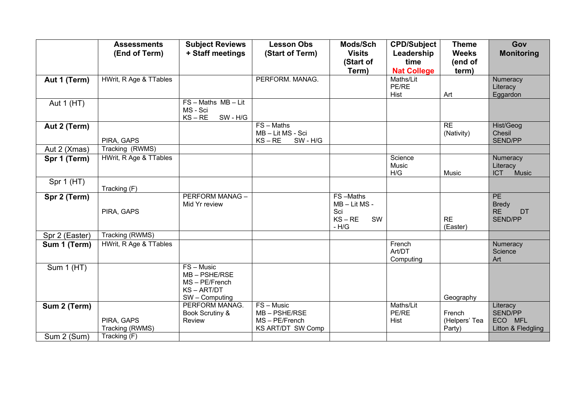|                | <b>Assessments</b><br>(End of Term) | <b>Subject Reviews</b><br>+ Staff meetings                                            | <b>Lesson Obs</b><br>(Start of Term)                                        | Mods/Sch<br><b>Visits</b>                                  | <b>CPD/Subject</b><br>Leadership | <b>Theme</b><br><b>Weeks</b>      | Gov<br><b>Monitoring</b>                             |
|----------------|-------------------------------------|---------------------------------------------------------------------------------------|-----------------------------------------------------------------------------|------------------------------------------------------------|----------------------------------|-----------------------------------|------------------------------------------------------|
|                |                                     |                                                                                       |                                                                             | (Start of                                                  | time                             | (end of                           |                                                      |
|                |                                     |                                                                                       |                                                                             | Term)                                                      | <b>Nat College</b>               | term)                             |                                                      |
| Aut 1 (Term)   | HWrit, R Age & TTables              |                                                                                       | PERFORM. MANAG.                                                             |                                                            | Maths/Lit<br>PE/RE<br>Hist       | Art                               | Numeracy<br>Literacy<br>Eggardon                     |
| Aut $1(HT)$    |                                     | $FS - Maths$ $MB - Lit$<br>MS - Sci<br>SW - H/G<br>$KS - RE$                          |                                                                             |                                                            |                                  |                                   |                                                      |
| Aut 2 (Term)   | PIRA, GAPS                          |                                                                                       | $FS - Maths$<br>MB-Lit MS-Sci<br>$KS - RE$<br>SW - H/G                      |                                                            |                                  | <b>RE</b><br>(Nativity)           | Hist/Geog<br>Chesil<br>SEND/PP                       |
| Aut 2 (Xmas)   | Tracking (RWMS)                     |                                                                                       |                                                                             |                                                            |                                  |                                   |                                                      |
| Spr 1 (Term)   | HWrit, R Age & TTables              |                                                                                       |                                                                             |                                                            | Science<br><b>Music</b><br>H/G   | Music                             | Numeracy<br>Literacy<br><b>ICT</b><br>Music          |
| Spr 1 (HT)     | Tracking (F)                        |                                                                                       |                                                                             |                                                            |                                  |                                   |                                                      |
| Spr 2 (Term)   | PIRA, GAPS                          | <b>PERFORM MANAG-</b><br>Mid Yr review                                                |                                                                             | FS-Maths<br>MB-Lit MS-<br>Sci<br>$KS - RE$<br>SW<br>$-H/G$ |                                  | <b>RE</b><br>(Easter)             | PE<br><b>Bredy</b><br><b>RE</b><br>DT<br>SEND/PP     |
| Spr 2 (Easter) | Tracking (RWMS)                     |                                                                                       |                                                                             |                                                            |                                  |                                   |                                                      |
| Sum 1 (Term)   | HWrit, R Age & TTables              |                                                                                       |                                                                             |                                                            | French<br>Art/DT<br>Computing    |                                   | Numeracy<br>Science<br>Art                           |
| Sum $1$ (HT)   |                                     | FS - Music<br>$MB - PSHE/RSE$<br>MS - PE/French<br><b>KS-ART/DT</b><br>SW - Computing |                                                                             |                                                            |                                  | Geography                         |                                                      |
| Sum 2 (Term)   | PIRA, GAPS<br>Tracking (RWMS)       | PERFORM MANAG.<br>Book Scrutiny &<br>Review                                           | FS - Music<br>$MB - PSHE/RSE$<br>MS - PE/French<br><b>KS ART/DT SW Comp</b> |                                                            | Maths/Lit<br>PE/RE<br>Hist       | French<br>(Helpers' Tea<br>Party) | Literacy<br>SEND/PP<br>ECO MFL<br>Litton & Fledgling |
| Sum 2 (Sum)    | Tracking (F)                        |                                                                                       |                                                                             |                                                            |                                  |                                   |                                                      |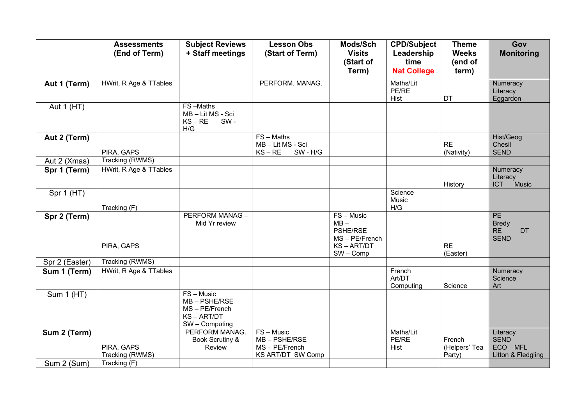|                   | <b>Assessments</b><br>(End of Term) | <b>Subject Reviews</b><br>+ Staff meetings                                   | <b>Lesson Obs</b><br>(Start of Term)                                        | Mods/Sch<br><b>Visits</b><br>(Start of<br>Term)                            | <b>CPD/Subject</b><br>Leadership<br>time<br><b>Nat College</b> | <b>Theme</b><br><b>Weeks</b><br>(end of<br>term) | Gov<br><b>Monitoring</b>                                    |
|-------------------|-------------------------------------|------------------------------------------------------------------------------|-----------------------------------------------------------------------------|----------------------------------------------------------------------------|----------------------------------------------------------------|--------------------------------------------------|-------------------------------------------------------------|
| Aut 1 (Term)      | HWrit, R Age & TTables              |                                                                              | PERFORM. MANAG.                                                             |                                                                            | Maths/Lit<br>PE/RE<br>Hist                                     | DT                                               | Numeracy<br>Literacy<br>Eggardon                            |
| Aut 1 (HT)        |                                     | FS-Maths<br>MB - Lit MS - Sci<br>$KS - RE$<br>SW-<br>H/G                     |                                                                             |                                                                            |                                                                |                                                  |                                                             |
| Aut 2 (Term)      | PIRA, GAPS                          |                                                                              | $FS - Maths$<br>MB-Lit MS-Sci<br>SW - H/G<br>$KS - RE$                      |                                                                            |                                                                | <b>RE</b><br>(Nativity)                          | Hist/Geog<br>Chesil<br><b>SEND</b>                          |
| Aut 2 (Xmas)      | Tracking (RWMS)                     |                                                                              |                                                                             |                                                                            |                                                                |                                                  |                                                             |
| Spr 1 (Term)      | HWrit, R Age & TTables              |                                                                              |                                                                             |                                                                            |                                                                | History                                          | Numeracy<br>Literacy<br><b>ICT</b><br>Music                 |
| Spr 1 (HT)        | Tracking (F)                        |                                                                              |                                                                             |                                                                            | Science<br>Music<br>H/G                                        |                                                  |                                                             |
| Spr 2 (Term)      | PIRA, GAPS                          | PERFORM MANAG-<br>Mid Yr review                                              |                                                                             | FS-Music<br>$MB -$<br>PSHE/RSE<br>MS-PE/French<br>KS-ART/DT<br>$SW - Comp$ |                                                                | <b>RE</b><br>(Easter)                            | PE<br><b>Bredy</b><br><b>RE</b><br><b>DT</b><br><b>SEND</b> |
| Spr 2 (Easter)    | Tracking (RWMS)                     |                                                                              |                                                                             |                                                                            |                                                                |                                                  |                                                             |
| Sum 1 (Term)      | HWrit, R Age & TTables              |                                                                              |                                                                             |                                                                            | French<br>Art/DT<br>Computing                                  | Science                                          | Numeracy<br>Science<br>Art                                  |
| <b>Sum 1 (HT)</b> |                                     | $FS - Music$<br>MB-PSHE/RSE<br>MS - PE/French<br>KS-ART/DT<br>SW - Computing |                                                                             |                                                                            |                                                                |                                                  |                                                             |
| Sum 2 (Term)      | PIRA, GAPS<br>Tracking (RWMS)       | PERFORM MANAG.<br>Book Scrutiny &<br>Review                                  | $FS - Music$<br>$MB - PSHE/RSE$<br>MS-PE/French<br><b>KS ART/DT SW Comp</b> |                                                                            | Maths/Lit<br>PE/RE<br>Hist                                     | French<br>(Helpers' Tea<br>Party)                | Literacy<br><b>SEND</b><br>ECO MFL<br>Litton & Fledgling    |
| Sum 2 (Sum)       | Tracking(F)                         |                                                                              |                                                                             |                                                                            |                                                                |                                                  |                                                             |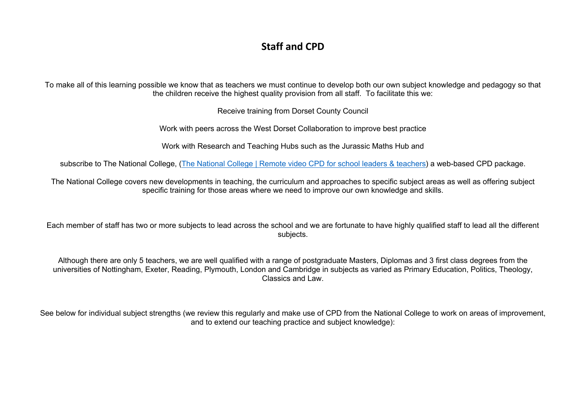# **Staff and CPD**

To make all of this learning possible we know that as teachers we must continue to develop both our own subject knowledge and pedagogy so that the children receive the highest quality provision from all staff. To facilitate this we:

Receive training from Dorset County Council

Work with peers across the West Dorset Collaboration to improve best practice

Work with Research and Teaching Hubs such as the Jurassic Maths Hub and

subscribe to The National College, (The National College | Remote video CPD for school leaders & teachers) a web-based CPD package.

The National College covers new developments in teaching, the curriculum and approaches to specific subject areas as well as offering subject specific training for those areas where we need to improve our own knowledge and skills.

Each member of staff has two or more subjects to lead across the school and we are fortunate to have highly qualified staff to lead all the different subjects.

Although there are only 5 teachers, we are well qualified with a range of postgraduate Masters, Diplomas and 3 first class degrees from the universities of Nottingham, Exeter, Reading, Plymouth, London and Cambridge in subjects as varied as Primary Education, Politics, Theology, Classics and Law.

See below for individual subject strengths (we review this regularly and make use of CPD from the National College to work on areas of improvement, and to extend our teaching practice and subject knowledge):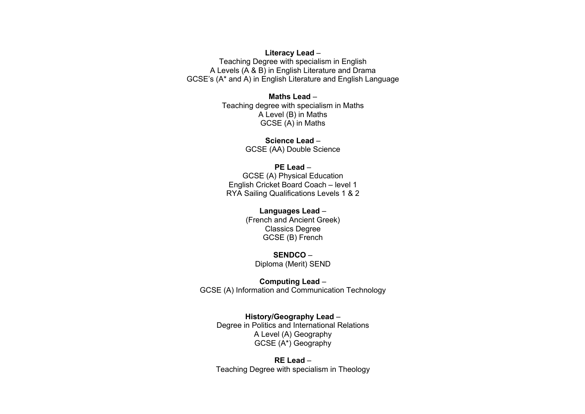#### **Literacy Lead** –

Teaching Degree with specialism in English A Levels (A & B) in English Literature and Drama GCSE's (A\* and A) in English Literature and English Language

#### **Maths Lead** –

Teaching degree with specialism in Maths A Level (B) in Maths GCSE (A) in Maths

> **Science Lead** – GCSE (AA) Double Science

#### **PE Lead** –

GCSE (A) Physical Education English Cricket Board Coach – level 1 RYA Sailing Qualifications Levels 1 & 2

#### **Languages Lead** –

(French and Ancient Greek) Classics Degree GCSE (B) French

**SENDCO** – Diploma (Merit) SEND

**Computing Lead** – GCSE (A) Information and Communication Technology

**History/Geography Lead** – Degree in Politics and International Relations A Level (A) Geography GCSE (A\*) Geography

**RE Lead** – Teaching Degree with specialism in Theology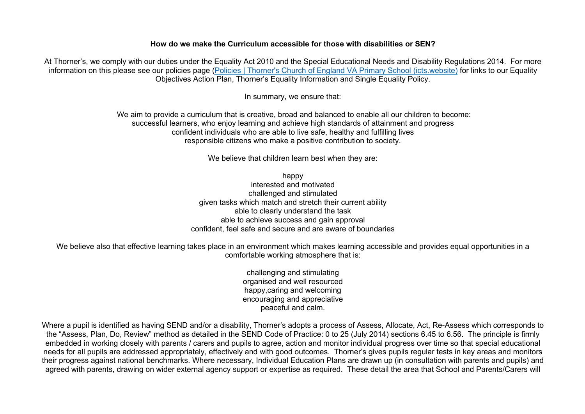#### **How do we make the Curriculum accessible for those with disabilities or SEN?**

At Thorner's, we comply with our duties under the Equality Act 2010 and the Special Educational Needs and Disability Regulations 2014. For more information on this please see our policies page (Policies | Thorner's Church of England VA Primary School (icts.website) for links to our Equality Objectives Action Plan, Thorner's Equality Information and Single Equality Policy.

In summary, we ensure that:

We aim to provide a curriculum that is creative, broad and balanced to enable all our children to become: successful learners, who enjoy learning and achieve high standards of attainment and progress confident individuals who are able to live safe, healthy and fulfilling lives responsible citizens who make a positive contribution to society.

We believe that children learn best when they are:

happy interested and motivated challenged and stimulated given tasks which match and stretch their current ability able to clearly understand the task able to achieve success and gain approval confident, feel safe and secure and are aware of boundaries

We believe also that effective learning takes place in an environment which makes learning accessible and provides equal opportunities in a comfortable working atmosphere that is:

> challenging and stimulating organised and well resourced happy,caring and welcoming encouraging and appreciative peaceful and calm.

Where a pupil is identified as having SEND and/or a disability, Thorner's adopts a process of Assess, Allocate, Act, Re-Assess which corresponds to the "Assess, Plan, Do, Review" method as detailed in the SEND Code of Practice: 0 to 25 (July 2014) sections 6.45 to 6.56. The principle is firmly embedded in working closely with parents / carers and pupils to agree, action and monitor individual progress over time so that special educational needs for all pupils are addressed appropriately, effectively and with good outcomes. Thorner's gives pupils regular tests in key areas and monitors their progress against national benchmarks. Where necessary, Individual Education Plans are drawn up (in consultation with parents and pupils) and agreed with parents, drawing on wider external agency support or expertise as required. These detail the area that School and Parents/Carers will